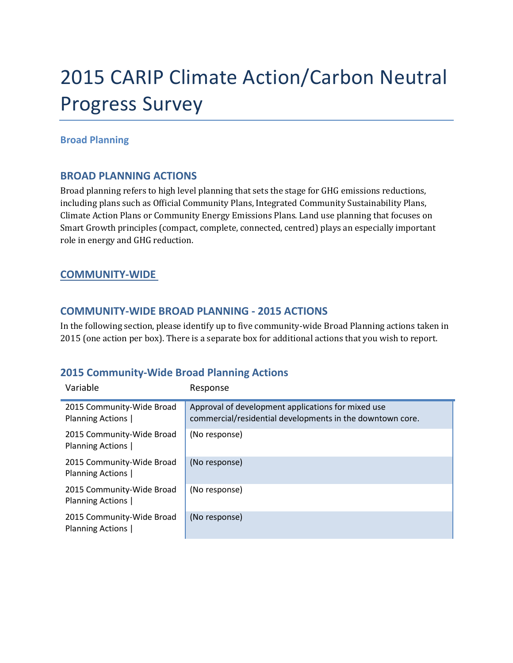# 2015 CARIP Climate Action/Carbon Neutral Progress Survey

#### **Broad Planning**

#### **BROAD PLANNING ACTIONS**

Broad planning refers to high level planning that sets the stage for GHG emissions reductions, including plans such as Official Community Plans, Integrated Community Sustainability Plans, Climate Action Plans or Community Energy Emissions Plans. Land use planning that focuses on Smart Growth principles (compact, complete, connected, centred) plays an especially important role in energy and GHG reduction.

#### **COMMUNITY-WIDE**

#### **COMMUNITY-WIDE BROAD PLANNING - 2015 ACTIONS**

In the following section, please identify up to five community-wide Broad Planning actions taken in 2015 (one action per box). There is a separate box for additional actions that you wish to report.

#### **2015 Community-Wide Broad Planning Actions**

| Variable                                      | Response                                                                                                        |
|-----------------------------------------------|-----------------------------------------------------------------------------------------------------------------|
| 2015 Community-Wide Broad<br>Planning Actions | Approval of development applications for mixed use<br>commercial/residential developments in the downtown core. |
| 2015 Community-Wide Broad<br>Planning Actions | (No response)                                                                                                   |
| 2015 Community-Wide Broad<br>Planning Actions | (No response)                                                                                                   |
| 2015 Community-Wide Broad<br>Planning Actions | (No response)                                                                                                   |
| 2015 Community-Wide Broad<br>Planning Actions | (No response)                                                                                                   |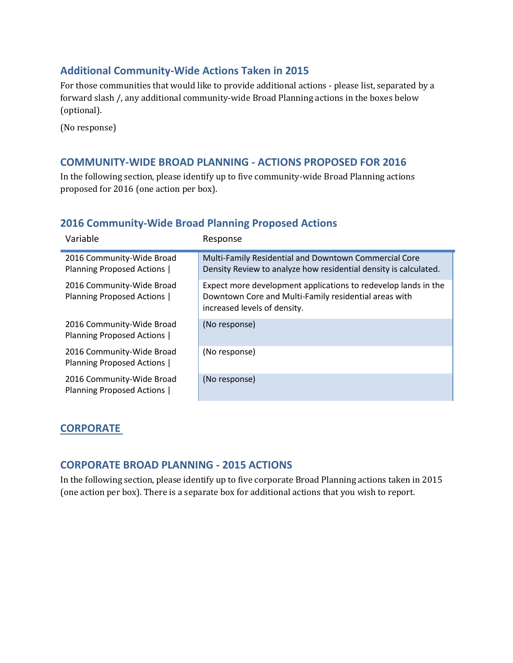#### **Additional Community-Wide Actions Taken in 2015**

For those communities that would like to provide additional actions - please list, separated by a forward slash /, any additional community-wide Broad Planning actions in the boxes below (optional).

(No response)

#### **COMMUNITY-WIDE BROAD PLANNING - ACTIONS PROPOSED FOR 2016**

In the following section, please identify up to five community-wide Broad Planning actions proposed for 2016 (one action per box).

#### Variable Response 2016 Community-Wide Broad Planning Proposed Actions | Multi-Family Residential and Downtown Commercial Core Density Review to analyze how residential density is calculated. 2016 Community-Wide Broad Planning Proposed Actions | Expect more development applications to redevelop lands in the Downtown Core and Multi-Family residential areas with increased levels of density. 2016 Community-Wide Broad Planning Proposed Actions | (No response) 2016 Community-Wide Broad Planning Proposed Actions | (No response) 2016 Community-Wide Broad Planning Proposed Actions | (No response)

#### **2016 Community-Wide Broad Planning Proposed Actions**

#### **CORPORATE**

#### **CORPORATE BROAD PLANNING - 2015 ACTIONS**

In the following section, please identify up to five corporate Broad Planning actions taken in 2015 (one action per box). There is a separate box for additional actions that you wish to report.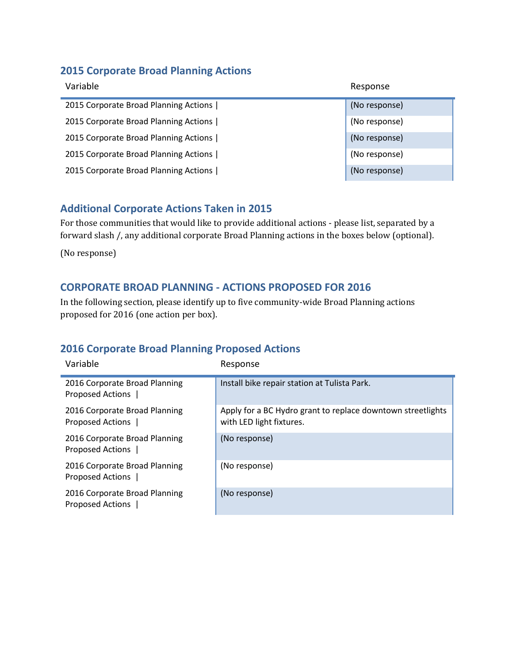#### **2015 Corporate Broad Planning Actions**

| Variable                              | Response      |
|---------------------------------------|---------------|
| 2015 Corporate Broad Planning Actions | (No response) |
| 2015 Corporate Broad Planning Actions | (No response) |
| 2015 Corporate Broad Planning Actions | (No response) |
| 2015 Corporate Broad Planning Actions | (No response) |
| 2015 Corporate Broad Planning Actions | (No response) |

#### **Additional Corporate Actions Taken in 2015**

For those communities that would like to provide additional actions - please list, separated by a forward slash /, any additional corporate Broad Planning actions in the boxes below (optional).

(No response)

### **CORPORATE BROAD PLANNING - ACTIONS PROPOSED FOR 2016**

In the following section, please identify up to five community-wide Broad Planning actions proposed for 2016 (one action per box).

### **2016 Corporate Broad Planning Proposed Actions**

| Variable                                                 | Response                                                                                |
|----------------------------------------------------------|-----------------------------------------------------------------------------------------|
| 2016 Corporate Broad Planning<br>Proposed Actions        | Install bike repair station at Tulista Park.                                            |
| 2016 Corporate Broad Planning<br>Proposed Actions        | Apply for a BC Hydro grant to replace downtown streetlights<br>with LED light fixtures. |
| 2016 Corporate Broad Planning<br><b>Proposed Actions</b> | (No response)                                                                           |
| 2016 Corporate Broad Planning<br><b>Proposed Actions</b> | (No response)                                                                           |
| 2016 Corporate Broad Planning<br>Proposed Actions        | (No response)                                                                           |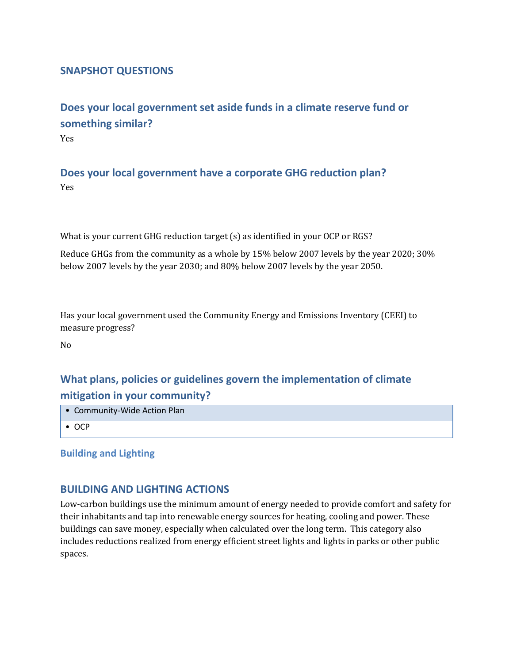#### **SNAPSHOT QUESTIONS**

**Does your local government set aside funds in a climate reserve fund or something similar?** Yes

**Does your local government have a corporate GHG reduction plan?** Yes

What is your current GHG reduction target (s) as identified in your OCP or RGS?

Reduce GHGs from the community as a whole by 15% below 2007 levels by the year 2020; 30% below 2007 levels by the year 2030; and 80% below 2007 levels by the year 2050.

Has your local government used the Community Energy and Emissions Inventory (CEEI) to measure progress?

No

# **What plans, policies or guidelines govern the implementation of climate mitigation in your community?**

- Community-Wide Action Plan
- OCP

**Building and Lighting**

#### **BUILDING AND LIGHTING ACTIONS**

Low-carbon buildings use the minimum amount of energy needed to provide comfort and safety for their inhabitants and tap into renewable energy sources for heating, cooling and power. These buildings can save money, especially when calculated over the long term. This category also includes reductions realized from energy efficient street lights and lights in parks or other public spaces.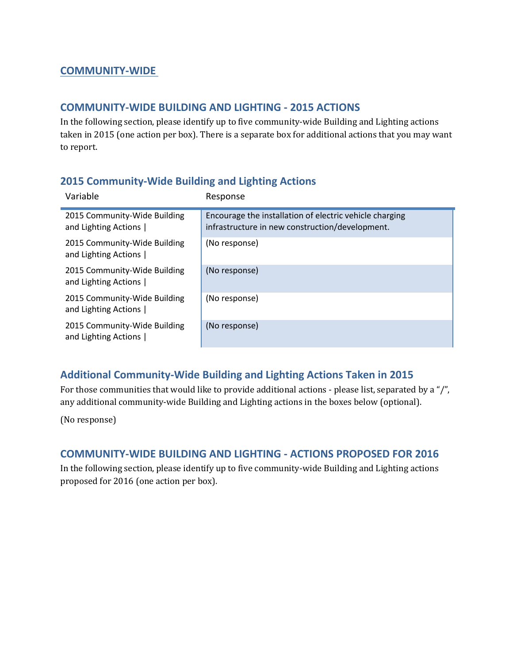#### **COMMUNITY-WIDE**

#### **COMMUNITY-WIDE BUILDING AND LIGHTING - 2015 ACTIONS**

In the following section, please identify up to five community-wide Building and Lighting actions taken in 2015 (one action per box). There is a separate box for additional actions that you may want to report.

# **2015 Community-Wide Building and Lighting Actions**

| Variable                                             | Response                                                                                                   |
|------------------------------------------------------|------------------------------------------------------------------------------------------------------------|
| 2015 Community-Wide Building<br>and Lighting Actions | Encourage the installation of electric vehicle charging<br>infrastructure in new construction/development. |
| 2015 Community-Wide Building<br>and Lighting Actions | (No response)                                                                                              |
| 2015 Community-Wide Building<br>and Lighting Actions | (No response)                                                                                              |
| 2015 Community-Wide Building<br>and Lighting Actions | (No response)                                                                                              |
| 2015 Community-Wide Building<br>and Lighting Actions | (No response)                                                                                              |

### **Additional Community-Wide Building and Lighting Actions Taken in 2015**

For those communities that would like to provide additional actions - please list, separated by a "/", any additional community-wide Building and Lighting actions in the boxes below (optional).

(No response)

#### **COMMUNITY-WIDE BUILDING AND LIGHTING - ACTIONS PROPOSED FOR 2016**

In the following section, please identify up to five community-wide Building and Lighting actions proposed for 2016 (one action per box).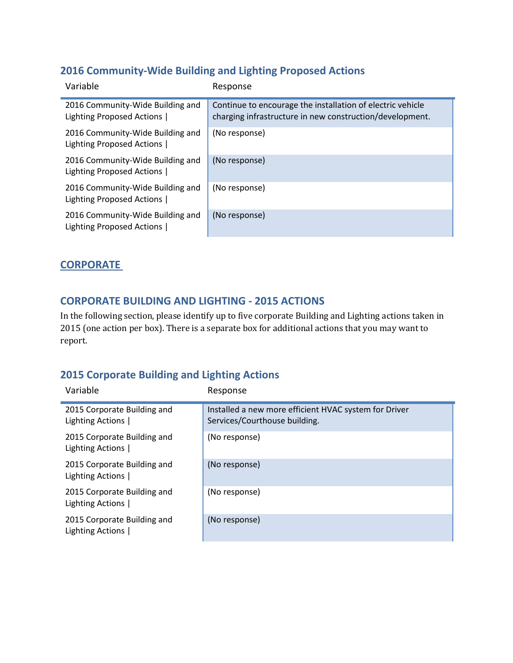## **2016 Community-Wide Building and Lighting Proposed Actions**

| Variable                                                      | Response                                                                                                               |
|---------------------------------------------------------------|------------------------------------------------------------------------------------------------------------------------|
| 2016 Community-Wide Building and<br>Lighting Proposed Actions | Continue to encourage the installation of electric vehicle<br>charging infrastructure in new construction/development. |
| 2016 Community-Wide Building and<br>Lighting Proposed Actions | (No response)                                                                                                          |
| 2016 Community-Wide Building and<br>Lighting Proposed Actions | (No response)                                                                                                          |
| 2016 Community-Wide Building and<br>Lighting Proposed Actions | (No response)                                                                                                          |
| 2016 Community-Wide Building and<br>Lighting Proposed Actions | (No response)                                                                                                          |

#### **CORPORATE**

#### **CORPORATE BUILDING AND LIGHTING - 2015 ACTIONS**

In the following section, please identify up to five corporate Building and Lighting actions taken in 2015 (one action per box). There is a separate box for additional actions that you may want to report.

# **2015 Corporate Building and Lighting Actions**

| Variable                                        | Response                                                                               |
|-------------------------------------------------|----------------------------------------------------------------------------------------|
| 2015 Corporate Building and<br>Lighting Actions | Installed a new more efficient HVAC system for Driver<br>Services/Courthouse building. |
| 2015 Corporate Building and<br>Lighting Actions | (No response)                                                                          |
| 2015 Corporate Building and<br>Lighting Actions | (No response)                                                                          |
| 2015 Corporate Building and<br>Lighting Actions | (No response)                                                                          |
| 2015 Corporate Building and<br>Lighting Actions | (No response)                                                                          |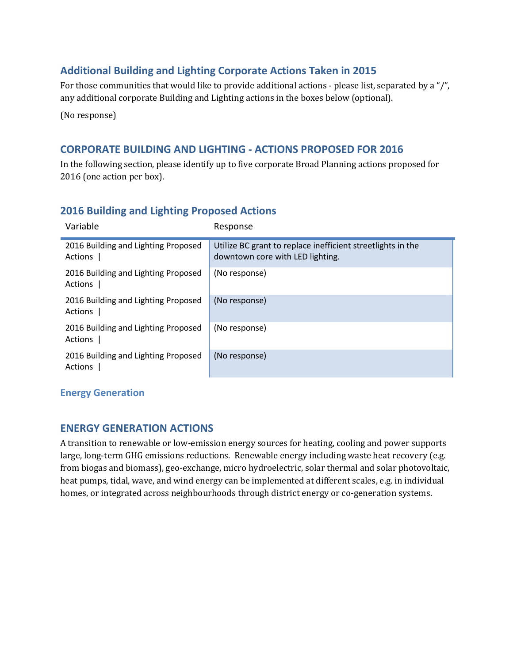### **Additional Building and Lighting Corporate Actions Taken in 2015**

For those communities that would like to provide additional actions - please list, separated by a "/", any additional corporate Building and Lighting actions in the boxes below (optional).

(No response)

#### **CORPORATE BUILDING AND LIGHTING - ACTIONS PROPOSED FOR 2016**

In the following section, please identify up to five corporate Broad Planning actions proposed for 2016 (one action per box).

#### **2016 Building and Lighting Proposed Actions**

| Variable                                       | Response                                                                                        |
|------------------------------------------------|-------------------------------------------------------------------------------------------------|
| 2016 Building and Lighting Proposed<br>Actions | Utilize BC grant to replace inefficient streetlights in the<br>downtown core with LED lighting. |
| 2016 Building and Lighting Proposed<br>Actions | (No response)                                                                                   |
| 2016 Building and Lighting Proposed<br>Actions | (No response)                                                                                   |
| 2016 Building and Lighting Proposed<br>Actions | (No response)                                                                                   |
| 2016 Building and Lighting Proposed<br>Actions | (No response)                                                                                   |

#### **Energy Generation**

#### **ENERGY GENERATION ACTIONS**

A transition to renewable or low-emission energy sources for heating, cooling and power supports large, long-term GHG emissions reductions. Renewable energy including waste heat recovery (e.g. from biogas and biomass), geo-exchange, micro hydroelectric, solar thermal and solar photovoltaic, heat pumps, tidal, wave, and wind energy can be implemented at different scales, e.g. in individual homes, or integrated across neighbourhoods through district energy or co-generation systems.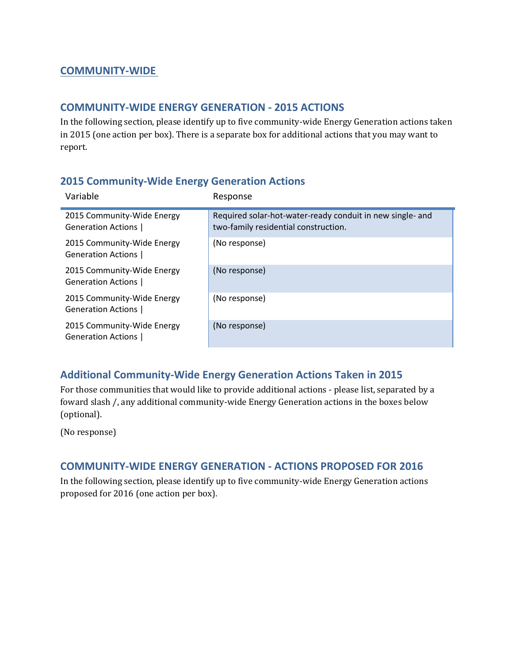#### **COMMUNITY-WIDE**

#### **COMMUNITY-WIDE ENERGY GENERATION - 2015 ACTIONS**

In the following section, please identify up to five community-wide Energy Generation actions taken in 2015 (one action per box). There is a separate box for additional actions that you may want to report.

#### Variable Response 2015 Community-Wide Energy Generation Actions | Required solar-hot-water-ready conduit in new single- and two-family residential construction. 2015 Community-Wide Energy Generation Actions | (No response) 2015 Community-Wide Energy Generation Actions | (No response) 2015 Community-Wide Energy Generation Actions | (No response) 2015 Community-Wide Energy Generation Actions | (No response)

### **2015 Community-Wide Energy Generation Actions**

### **Additional Community-Wide Energy Generation Actions Taken in 2015**

For those communities that would like to provide additional actions - please list, separated by a foward slash /, any additional community-wide Energy Generation actions in the boxes below (optional).

(No response)

#### **COMMUNITY-WIDE ENERGY GENERATION - ACTIONS PROPOSED FOR 2016**

In the following section, please identify up to five community-wide Energy Generation actions proposed for 2016 (one action per box).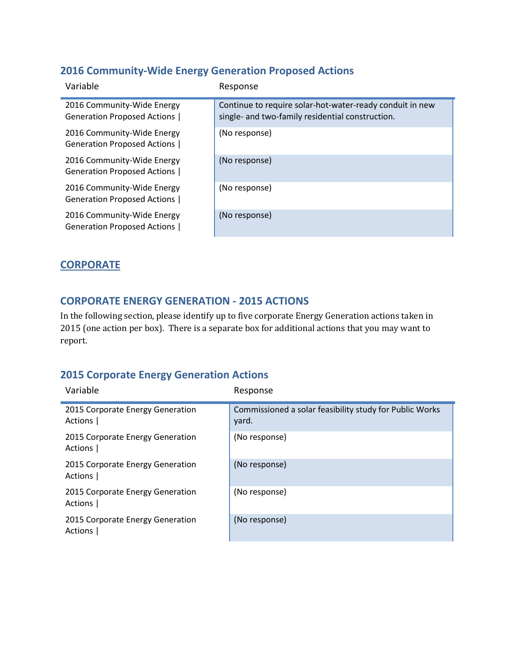#### **2016 Community-Wide Energy Generation Proposed Actions**

| Variable                                                           | Response                                                                                                     |
|--------------------------------------------------------------------|--------------------------------------------------------------------------------------------------------------|
| 2016 Community-Wide Energy<br>Generation Proposed Actions          | Continue to require solar-hot-water-ready conduit in new<br>single- and two-family residential construction. |
| 2016 Community-Wide Energy<br>Generation Proposed Actions          | (No response)                                                                                                |
| 2016 Community-Wide Energy<br>Generation Proposed Actions          | (No response)                                                                                                |
| 2016 Community-Wide Energy<br><b>Generation Proposed Actions  </b> | (No response)                                                                                                |
| 2016 Community-Wide Energy<br>Generation Proposed Actions          | (No response)                                                                                                |

#### **CORPORATE**

#### **CORPORATE ENERGY GENERATION - 2015 ACTIONS**

In the following section, please identify up to five corporate Energy Generation actions taken in 2015 (one action per box). There is a separate box for additional actions that you may want to report.

# **2015 Corporate Energy Generation Actions**

| Variable                                    | Response                                                         |
|---------------------------------------------|------------------------------------------------------------------|
| 2015 Corporate Energy Generation<br>Actions | Commissioned a solar feasibility study for Public Works<br>yard. |
| 2015 Corporate Energy Generation<br>Actions | (No response)                                                    |
| 2015 Corporate Energy Generation<br>Actions | (No response)                                                    |
| 2015 Corporate Energy Generation<br>Actions | (No response)                                                    |
| 2015 Corporate Energy Generation<br>Actions | (No response)                                                    |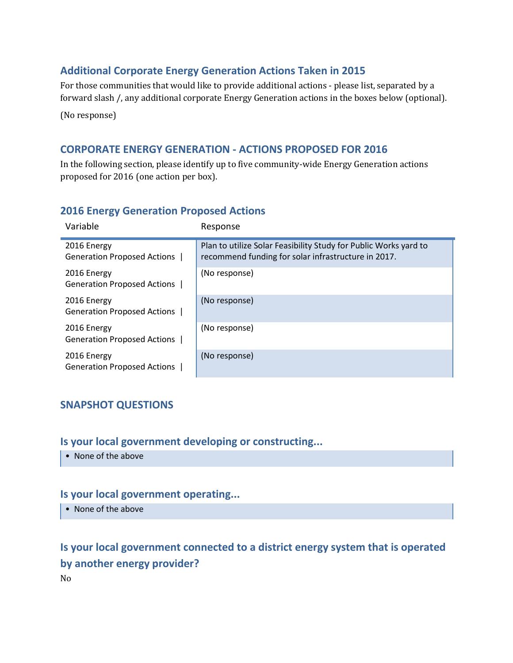#### **Additional Corporate Energy Generation Actions Taken in 2015**

For those communities that would like to provide additional actions - please list, separated by a forward slash /, any additional corporate Energy Generation actions in the boxes below (optional).

(No response)

#### **CORPORATE ENERGY GENERATION - ACTIONS PROPOSED FOR 2016**

In the following section, please identify up to five community-wide Energy Generation actions proposed for 2016 (one action per box).

#### **2016 Energy Generation Proposed Actions**

| Variable                                          | Response                                                                                                                |
|---------------------------------------------------|-------------------------------------------------------------------------------------------------------------------------|
| 2016 Energy<br>Generation Proposed Actions        | Plan to utilize Solar Feasibility Study for Public Works yard to<br>recommend funding for solar infrastructure in 2017. |
| 2016 Energy<br><b>Generation Proposed Actions</b> | (No response)                                                                                                           |
| 2016 Energy<br><b>Generation Proposed Actions</b> | (No response)                                                                                                           |
| 2016 Energy<br><b>Generation Proposed Actions</b> | (No response)                                                                                                           |
| 2016 Energy<br><b>Generation Proposed Actions</b> | (No response)                                                                                                           |

#### **SNAPSHOT QUESTIONS**

#### **Is your local government developing or constructing...**

• None of the above

#### **Is your local government operating...**

• None of the above

# **Is your local government connected to a district energy system that is operated by another energy provider?** No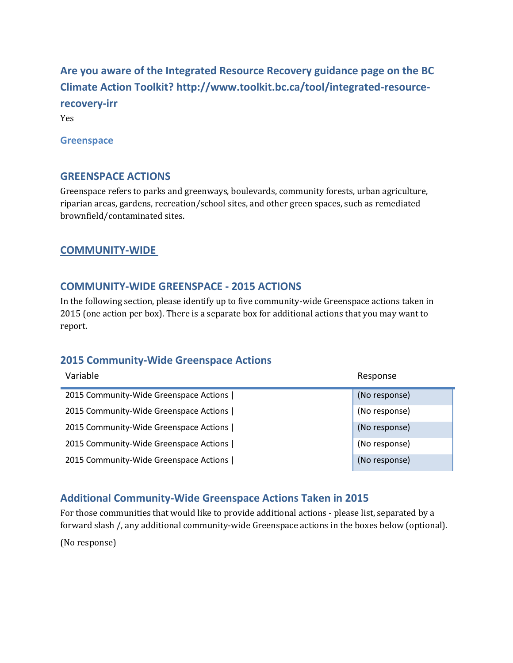**Are you aware of the Integrated Resource Recovery guidance page on the BC Climate Action Toolkit? http://www.toolkit.bc.ca/tool/integrated-resourcerecovery-irr**

Yes

#### **Greenspace**

#### **GREENSPACE ACTIONS**

Greenspace refers to parks and greenways, boulevards, community forests, urban agriculture, riparian areas, gardens, recreation/school sites, and other green spaces, such as remediated brownfield/contaminated sites.

#### **COMMUNITY-WIDE**

#### **COMMUNITY-WIDE GREENSPACE - 2015 ACTIONS**

In the following section, please identify up to five community-wide Greenspace actions taken in 2015 (one action per box). There is a separate box for additional actions that you may want to report.

#### **2015 Community-Wide Greenspace Actions**

| Variable                               | Response      |
|----------------------------------------|---------------|
| 2015 Community-Wide Greenspace Actions | (No response) |
| 2015 Community-Wide Greenspace Actions | (No response) |
| 2015 Community-Wide Greenspace Actions | (No response) |
| 2015 Community-Wide Greenspace Actions | (No response) |
| 2015 Community-Wide Greenspace Actions | (No response) |

#### **Additional Community-Wide Greenspace Actions Taken in 2015**

For those communities that would like to provide additional actions - please list, separated by a forward slash /, any additional community-wide Greenspace actions in the boxes below (optional).

(No response)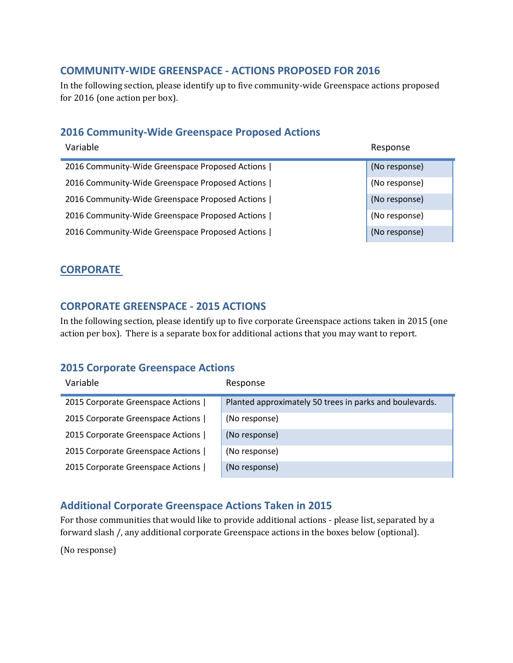#### **COMMUNITY-WIDE GREENSPACE - ACTIONS PROPOSED FOR 2016**

In the following section, please identify up to five community-wide Greenspace actions proposed for 2016 (one action per box).

#### **2016 Community-Wide Greenspace Proposed Actions**

| Variable                                        | Response      |
|-------------------------------------------------|---------------|
| 2016 Community-Wide Greenspace Proposed Actions | (No response) |
| 2016 Community-Wide Greenspace Proposed Actions | (No response) |
| 2016 Community-Wide Greenspace Proposed Actions | (No response) |
| 2016 Community-Wide Greenspace Proposed Actions | (No response) |
| 2016 Community-Wide Greenspace Proposed Actions | (No response) |

#### **CORPORATE**

#### **CORPORATE GREENSPACE - 2015 ACTIONS**

In the following section, please identify up to five corporate Greenspace actions taken in 2015 (one action per box). There is a separate box for additional actions that you may want to report.

#### **2015 Corporate Greenspace Actions**

| Variable                          | Response                                                |
|-----------------------------------|---------------------------------------------------------|
| 2015 Corporate Greenspace Actions | Planted approximately 50 trees in parks and boulevards. |
| 2015 Corporate Greenspace Actions | (No response)                                           |
| 2015 Corporate Greenspace Actions | (No response)                                           |
| 2015 Corporate Greenspace Actions | (No response)                                           |
| 2015 Corporate Greenspace Actions | (No response)                                           |

### **Additional Corporate Greenspace Actions Taken in 2015**

For those communities that would like to provide additional actions - please list, separated by a forward slash /, any additional corporate Greenspace actions in the boxes below (optional).

(No response)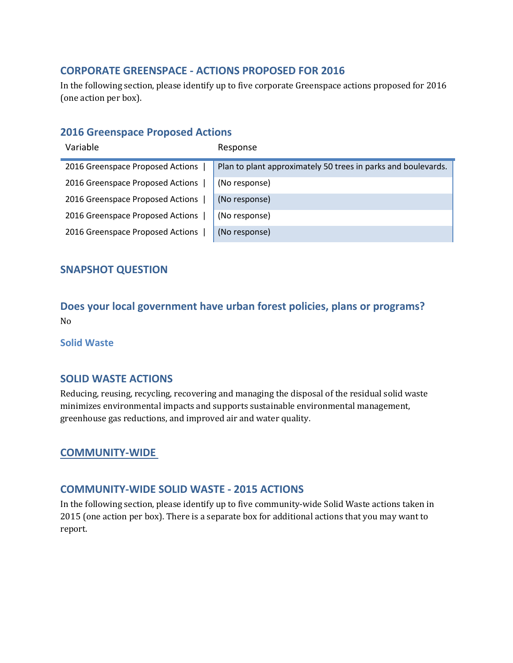#### **CORPORATE GREENSPACE - ACTIONS PROPOSED FOR 2016**

In the following section, please identify up to five corporate Greenspace actions proposed for 2016 (one action per box).

#### **2016 Greenspace Proposed Actions**

| Variable                         | Response                                                      |
|----------------------------------|---------------------------------------------------------------|
| 2016 Greenspace Proposed Actions | Plan to plant approximately 50 trees in parks and boulevards. |
| 2016 Greenspace Proposed Actions | (No response)                                                 |
| 2016 Greenspace Proposed Actions | (No response)                                                 |
| 2016 Greenspace Proposed Actions | (No response)                                                 |
| 2016 Greenspace Proposed Actions | (No response)                                                 |

#### **SNAPSHOT QUESTION**

**Does your local government have urban forest policies, plans or programs?** No

**Solid Waste**

#### **SOLID WASTE ACTIONS**

Reducing, reusing, recycling, recovering and managing the disposal of the residual solid waste minimizes environmental impacts and supports sustainable environmental management, greenhouse gas reductions, and improved air and water quality.

#### **COMMUNITY-WIDE**

#### **COMMUNITY-WIDE SOLID WASTE - 2015 ACTIONS**

In the following section, please identify up to five community-wide Solid Waste actions taken in 2015 (one action per box). There is a separate box for additional actions that you may want to report.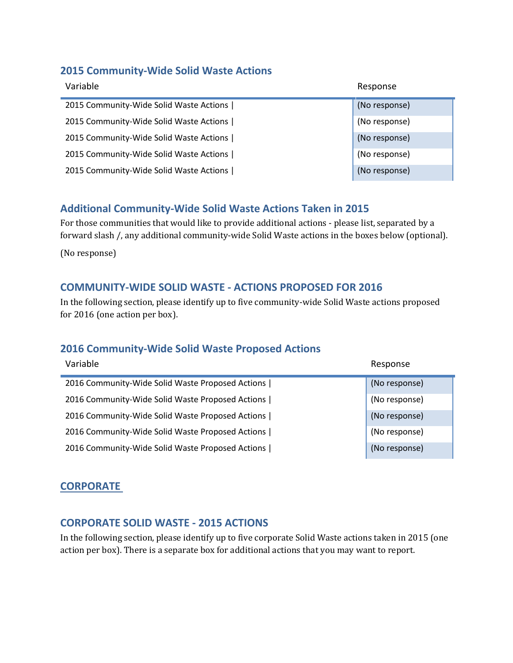#### **2015 Community-Wide Solid Waste Actions**

| Variable                                | Response      |
|-----------------------------------------|---------------|
| 2015 Community-Wide Solid Waste Actions | (No response) |
| 2015 Community-Wide Solid Waste Actions | (No response) |
| 2015 Community-Wide Solid Waste Actions | (No response) |
| 2015 Community-Wide Solid Waste Actions | (No response) |
| 2015 Community-Wide Solid Waste Actions | (No response) |

#### **Additional Community-Wide Solid Waste Actions Taken in 2015**

For those communities that would like to provide additional actions - please list, separated by a forward slash /, any additional community-wide Solid Waste actions in the boxes below (optional).

(No response)

#### **COMMUNITY-WIDE SOLID WASTE - ACTIONS PROPOSED FOR 2016**

In the following section, please identify up to five community-wide Solid Waste actions proposed for 2016 (one action per box).

### **2016 Community-Wide Solid Waste Proposed Actions**

| Variable                                         | Response      |
|--------------------------------------------------|---------------|
| 2016 Community-Wide Solid Waste Proposed Actions | (No response) |
| 2016 Community-Wide Solid Waste Proposed Actions | (No response) |
| 2016 Community-Wide Solid Waste Proposed Actions | (No response) |
| 2016 Community-Wide Solid Waste Proposed Actions | (No response) |
| 2016 Community-Wide Solid Waste Proposed Actions | (No response) |

### **CORPORATE**

#### **CORPORATE SOLID WASTE - 2015 ACTIONS**

In the following section, please identify up to five corporate Solid Waste actions taken in 2015 (one action per box). There is a separate box for additional actions that you may want to report.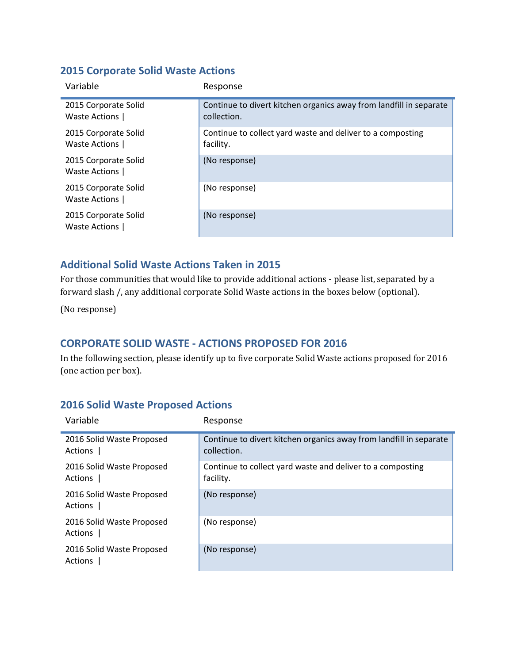#### **2015 Corporate Solid Waste Actions**

| Variable                              | Response                                                                          |
|---------------------------------------|-----------------------------------------------------------------------------------|
| 2015 Corporate Solid<br>Waste Actions | Continue to divert kitchen organics away from landfill in separate<br>collection. |
| 2015 Corporate Solid<br>Waste Actions | Continue to collect yard waste and deliver to a composting<br>facility.           |
| 2015 Corporate Solid<br>Waste Actions | (No response)                                                                     |
| 2015 Corporate Solid<br>Waste Actions | (No response)                                                                     |
| 2015 Corporate Solid<br>Waste Actions | (No response)                                                                     |

# **Additional Solid Waste Actions Taken in 2015**

For those communities that would like to provide additional actions - please list, separated by a forward slash /, any additional corporate Solid Waste actions in the boxes below (optional).

(No response)

### **CORPORATE SOLID WASTE - ACTIONS PROPOSED FOR 2016**

In the following section, please identify up to five corporate Solid Waste actions proposed for 2016 (one action per box).

| Variable                             | Response                                                                          |
|--------------------------------------|-----------------------------------------------------------------------------------|
| 2016 Solid Waste Proposed<br>Actions | Continue to divert kitchen organics away from landfill in separate<br>collection. |
| 2016 Solid Waste Proposed<br>Actions | Continue to collect yard waste and deliver to a composting<br>facility.           |
| 2016 Solid Waste Proposed<br>Actions | (No response)                                                                     |
| 2016 Solid Waste Proposed<br>Actions | (No response)                                                                     |
| 2016 Solid Waste Proposed<br>Actions | (No response)                                                                     |

#### **2016 Solid Waste Proposed Actions**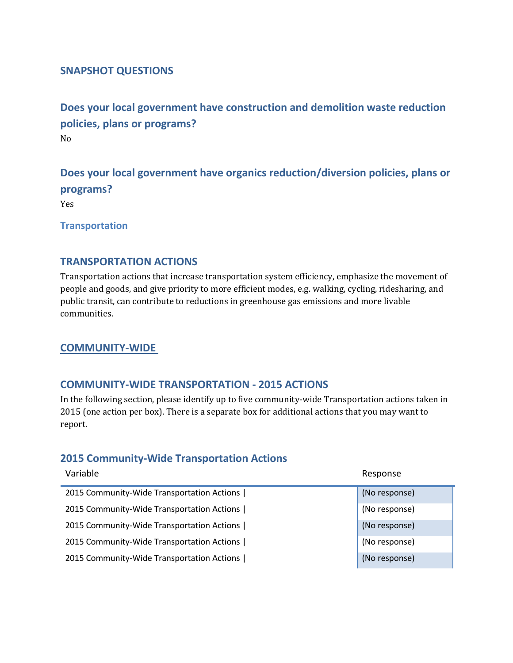#### **SNAPSHOT QUESTIONS**

# **Does your local government have construction and demolition waste reduction policies, plans or programs?** No

# **Does your local government have organics reduction/diversion policies, plans or programs?**

Yes

**Transportation**

#### **TRANSPORTATION ACTIONS**

Transportation actions that increase transportation system efficiency, emphasize the movement of people and goods, and give priority to more efficient modes, e.g. walking, cycling, ridesharing, and public transit, can contribute to reductions in greenhouse gas emissions and more livable communities.

#### **COMMUNITY-WIDE**

#### **COMMUNITY-WIDE TRANSPORTATION - 2015 ACTIONS**

In the following section, please identify up to five community-wide Transportation actions taken in 2015 (one action per box). There is a separate box for additional actions that you may want to report.

#### **2015 Community-Wide Transportation Actions**

| Variable                                   | Response      |
|--------------------------------------------|---------------|
| 2015 Community-Wide Transportation Actions | (No response) |
| 2015 Community-Wide Transportation Actions | (No response) |
| 2015 Community-Wide Transportation Actions | (No response) |
| 2015 Community-Wide Transportation Actions | (No response) |
| 2015 Community-Wide Transportation Actions | (No response) |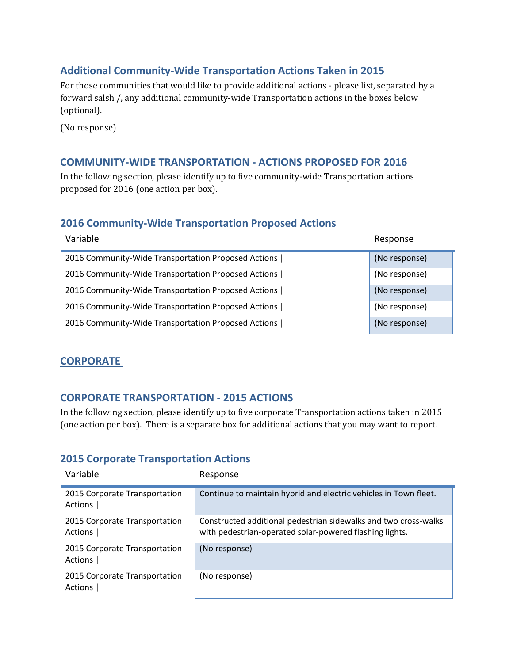#### **Additional Community-Wide Transportation Actions Taken in 2015**

For those communities that would like to provide additional actions - please list, separated by a forward salsh /, any additional community-wide Transportation actions in the boxes below (optional).

(No response)

#### **COMMUNITY-WIDE TRANSPORTATION - ACTIONS PROPOSED FOR 2016**

In the following section, please identify up to five community-wide Transportation actions proposed for 2016 (one action per box).

#### **2016 Community-Wide Transportation Proposed Actions**

| Variable                                            | Response      |
|-----------------------------------------------------|---------------|
| 2016 Community-Wide Transportation Proposed Actions | (No response) |
| 2016 Community-Wide Transportation Proposed Actions | (No response) |
| 2016 Community-Wide Transportation Proposed Actions | (No response) |
| 2016 Community-Wide Transportation Proposed Actions | (No response) |
| 2016 Community-Wide Transportation Proposed Actions | (No response) |

#### **CORPORATE**

#### **CORPORATE TRANSPORTATION - 2015 ACTIONS**

In the following section, please identify up to five corporate Transportation actions taken in 2015 (one action per box). There is a separate box for additional actions that you may want to report.

#### **2015 Corporate Transportation Actions**

| Variable                                 | Response                                                                                                                   |
|------------------------------------------|----------------------------------------------------------------------------------------------------------------------------|
| 2015 Corporate Transportation<br>Actions | Continue to maintain hybrid and electric vehicles in Town fleet.                                                           |
| 2015 Corporate Transportation<br>Actions | Constructed additional pedestrian sidewalks and two cross-walks<br>with pedestrian-operated solar-powered flashing lights. |
| 2015 Corporate Transportation<br>Actions | (No response)                                                                                                              |
| 2015 Corporate Transportation<br>Actions | (No response)                                                                                                              |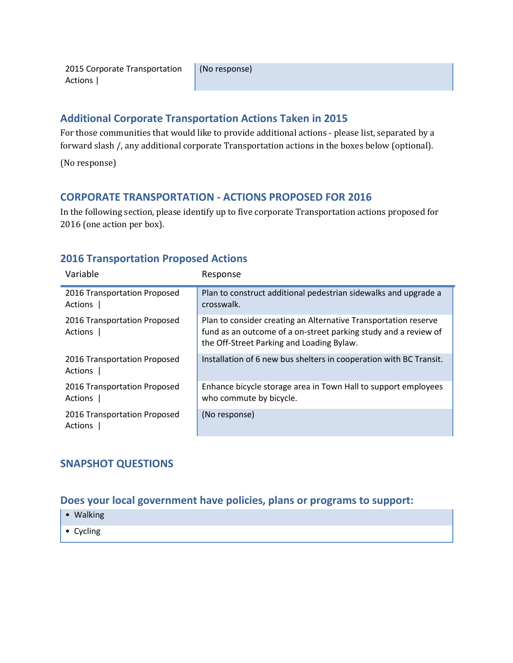#### **Additional Corporate Transportation Actions Taken in 2015**

For those communities that would like to provide additional actions - please list, separated by a forward slash /, any additional corporate Transportation actions in the boxes below (optional).

(No response)

#### **CORPORATE TRANSPORTATION - ACTIONS PROPOSED FOR 2016**

In the following section, please identify up to five corporate Transportation actions proposed for 2016 (one action per box).

#### **2016 Transportation Proposed Actions**

| Variable                                | Response                                                                                                                                                                        |
|-----------------------------------------|---------------------------------------------------------------------------------------------------------------------------------------------------------------------------------|
| 2016 Transportation Proposed<br>Actions | Plan to construct additional pedestrian sidewalks and upgrade a<br>crosswalk.                                                                                                   |
| 2016 Transportation Proposed<br>Actions | Plan to consider creating an Alternative Transportation reserve<br>fund as an outcome of a on-street parking study and a review of<br>the Off-Street Parking and Loading Bylaw. |
| 2016 Transportation Proposed<br>Actions | Installation of 6 new bus shelters in cooperation with BC Transit.                                                                                                              |
| 2016 Transportation Proposed<br>Actions | Enhance bicycle storage area in Town Hall to support employees<br>who commute by bicycle.                                                                                       |
| 2016 Transportation Proposed<br>Actions | (No response)                                                                                                                                                                   |

#### **SNAPSHOT QUESTIONS**

#### **Does your local government have policies, plans or programs to support:**

- Walking
- Cycling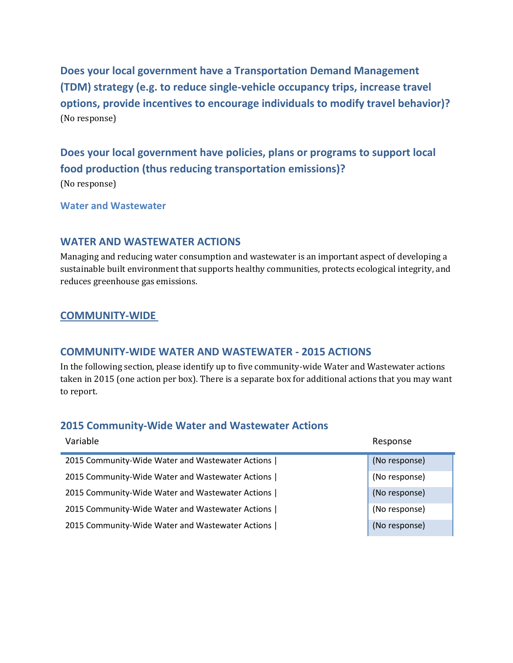**Does your local government have a Transportation Demand Management (TDM) strategy (e.g. to reduce single-vehicle occupancy trips, increase travel options, provide incentives to encourage individuals to modify travel behavior)?** (No response)

**Does your local government have policies, plans or programs to support local food production (thus reducing transportation emissions)?**

(No response)

**Water and Wastewater**

#### **WATER AND WASTEWATER ACTIONS**

Managing and reducing water consumption and wastewater is an important aspect of developing a sustainable built environment that supports healthy communities, protects ecological integrity, and reduces greenhouse gas emissions.

#### **COMMUNITY-WIDE**

#### **COMMUNITY-WIDE WATER AND WASTEWATER - 2015 ACTIONS**

In the following section, please identify up to five community-wide Water and Wastewater actions taken in 2015 (one action per box). There is a separate box for additional actions that you may want to report.

#### **2015 Community-Wide Water and Wastewater Actions**

| Variable                                         | Response      |
|--------------------------------------------------|---------------|
| 2015 Community-Wide Water and Wastewater Actions | (No response) |
| 2015 Community-Wide Water and Wastewater Actions | (No response) |
| 2015 Community-Wide Water and Wastewater Actions | (No response) |
| 2015 Community-Wide Water and Wastewater Actions | (No response) |
| 2015 Community-Wide Water and Wastewater Actions | (No response) |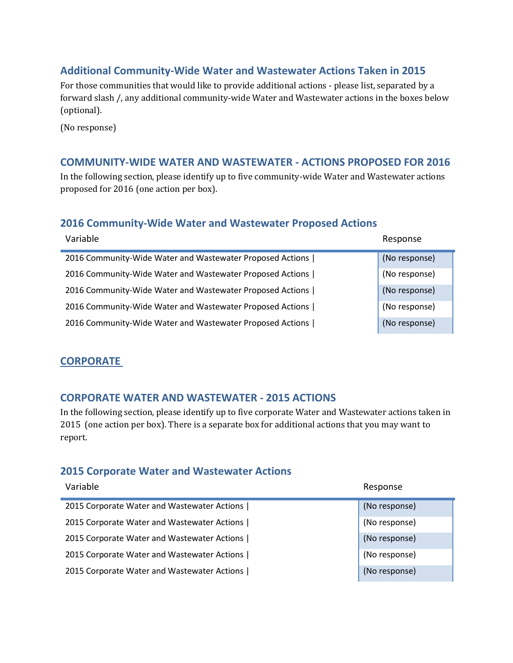#### **Additional Community-Wide Water and Wastewater Actions Taken in 2015**

For those communities that would like to provide additional actions - please list, separated by a forward slash /, any additional community-wide Water and Wastewater actions in the boxes below (optional).

(No response)

#### **COMMUNITY-WIDE WATER AND WASTEWATER - ACTIONS PROPOSED FOR 2016**

In the following section, please identify up to five community-wide Water and Wastewater actions proposed for 2016 (one action per box).

#### **2016 Community-Wide Water and Wastewater Proposed Actions**

| Variable                                                  | Response      |
|-----------------------------------------------------------|---------------|
| 2016 Community-Wide Water and Wastewater Proposed Actions | (No response) |
| 2016 Community-Wide Water and Wastewater Proposed Actions | (No response) |
| 2016 Community-Wide Water and Wastewater Proposed Actions | (No response) |
| 2016 Community-Wide Water and Wastewater Proposed Actions | (No response) |
| 2016 Community-Wide Water and Wastewater Proposed Actions | (No response) |

#### **CORPORATE**

#### **CORPORATE WATER AND WASTEWATER - 2015 ACTIONS**

In the following section, please identify up to five corporate Water and Wastewater actions taken in 2015 (one action per box). There is a separate box for additional actions that you may want to report.

#### **2015 Corporate Water and Wastewater Actions**

| Variable                                    | Response      |
|---------------------------------------------|---------------|
| 2015 Corporate Water and Wastewater Actions | (No response) |
| 2015 Corporate Water and Wastewater Actions | (No response) |
| 2015 Corporate Water and Wastewater Actions | (No response) |
| 2015 Corporate Water and Wastewater Actions | (No response) |
| 2015 Corporate Water and Wastewater Actions | (No response) |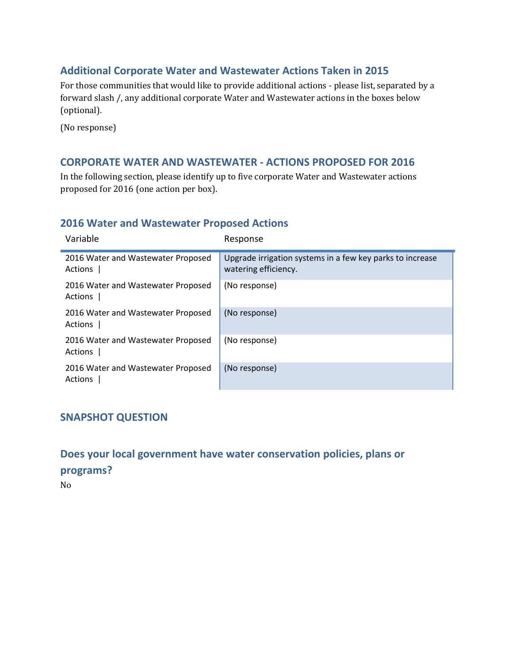#### **Additional Corporate Water and Wastewater Actions Taken in 2015**

For those communities that would like to provide additional actions - please list, separated by a forward slash /, any additional corporate Water and Wastewater actions in the boxes below (optional).

(No response)

#### **CORPORATE WATER AND WASTEWATER - ACTIONS PROPOSED FOR 2016**

In the following section, please identify up to five corporate Water and Wastewater actions proposed for 2016 (one action per box).

#### **2016 Water and Wastewater Proposed Actions**

| Variable                                      | Response                                                                          |
|-----------------------------------------------|-----------------------------------------------------------------------------------|
| 2016 Water and Wastewater Proposed<br>Actions | Upgrade irrigation systems in a few key parks to increase<br>watering efficiency. |
| 2016 Water and Wastewater Proposed<br>Actions | (No response)                                                                     |
| 2016 Water and Wastewater Proposed<br>Actions | (No response)                                                                     |
| 2016 Water and Wastewater Proposed<br>Actions | (No response)                                                                     |
| 2016 Water and Wastewater Proposed<br>Actions | (No response)                                                                     |

#### **SNAPSHOT QUESTION**

**Does your local government have water conservation policies, plans or programs?**

No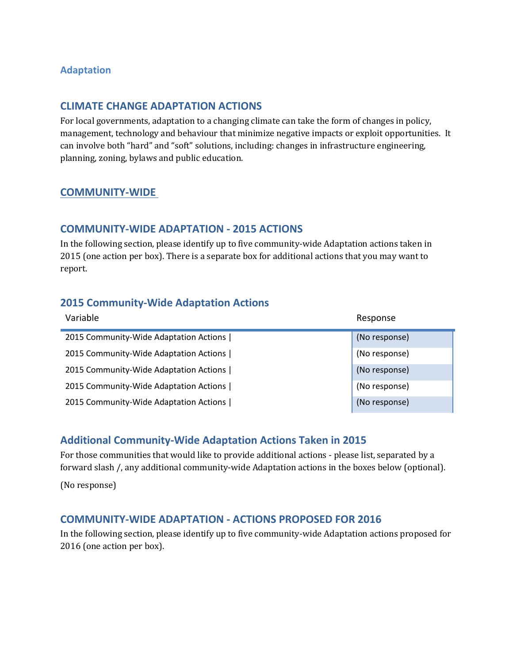#### **Adaptation**

#### **CLIMATE CHANGE ADAPTATION ACTIONS**

For local governments, adaptation to a changing climate can take the form of changes in policy, management, technology and behaviour that minimize negative impacts or exploit opportunities. It can involve both "hard" and "soft" solutions, including: changes in infrastructure engineering, planning, zoning, bylaws and public education.

#### **COMMUNITY-WIDE**

#### **COMMUNITY-WIDE ADAPTATION - 2015 ACTIONS**

In the following section, please identify up to five community-wide Adaptation actions taken in 2015 (one action per box). There is a separate box for additional actions that you may want to report.

#### **2015 Community-Wide Adaptation Actions**

| Variable                               | Response      |
|----------------------------------------|---------------|
| 2015 Community-Wide Adaptation Actions | (No response) |
| 2015 Community-Wide Adaptation Actions | (No response) |
| 2015 Community-Wide Adaptation Actions | (No response) |
| 2015 Community-Wide Adaptation Actions | (No response) |
| 2015 Community-Wide Adaptation Actions | (No response) |

#### **Additional Community-Wide Adaptation Actions Taken in 2015**

For those communities that would like to provide additional actions - please list, separated by a forward slash /, any additional community-wide Adaptation actions in the boxes below (optional).

(No response)

#### **COMMUNITY-WIDE ADAPTATION - ACTIONS PROPOSED FOR 2016**

In the following section, please identify up to five community-wide Adaptation actions proposed for 2016 (one action per box).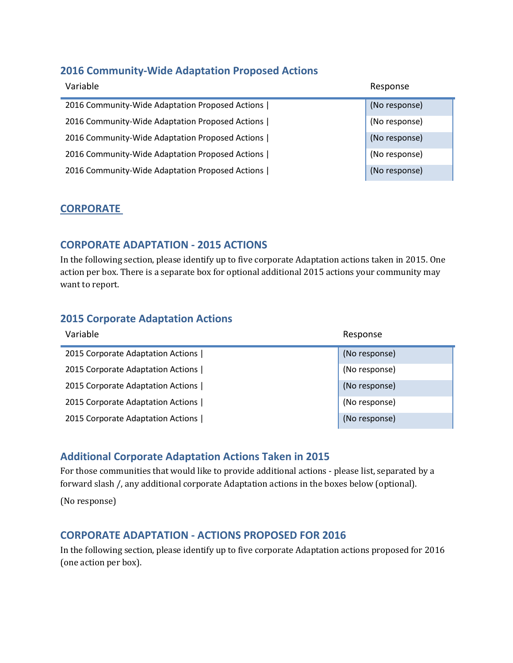#### **2016 Community-Wide Adaptation Proposed Actions**

| Variable                                        | Response      |
|-------------------------------------------------|---------------|
| 2016 Community-Wide Adaptation Proposed Actions | (No response) |
| 2016 Community-Wide Adaptation Proposed Actions | (No response) |
| 2016 Community-Wide Adaptation Proposed Actions | (No response) |
| 2016 Community-Wide Adaptation Proposed Actions | (No response) |
| 2016 Community-Wide Adaptation Proposed Actions | (No response) |

#### **CORPORATE**

#### **CORPORATE ADAPTATION - 2015 ACTIONS**

In the following section, please identify up to five corporate Adaptation actions taken in 2015. One action per box. There is a separate box for optional additional 2015 actions your community may want to report.

### **2015 Corporate Adaptation Actions**

| Variable                          | Response      |
|-----------------------------------|---------------|
| 2015 Corporate Adaptation Actions | (No response) |
| 2015 Corporate Adaptation Actions | (No response) |
| 2015 Corporate Adaptation Actions | (No response) |
| 2015 Corporate Adaptation Actions | (No response) |
| 2015 Corporate Adaptation Actions | (No response) |

#### **Additional Corporate Adaptation Actions Taken in 2015**

For those communities that would like to provide additional actions - please list, separated by a forward slash /, any additional corporate Adaptation actions in the boxes below (optional).

(No response)

### **CORPORATE ADAPTATION - ACTIONS PROPOSED FOR 2016**

In the following section, please identify up to five corporate Adaptation actions proposed for 2016 (one action per box).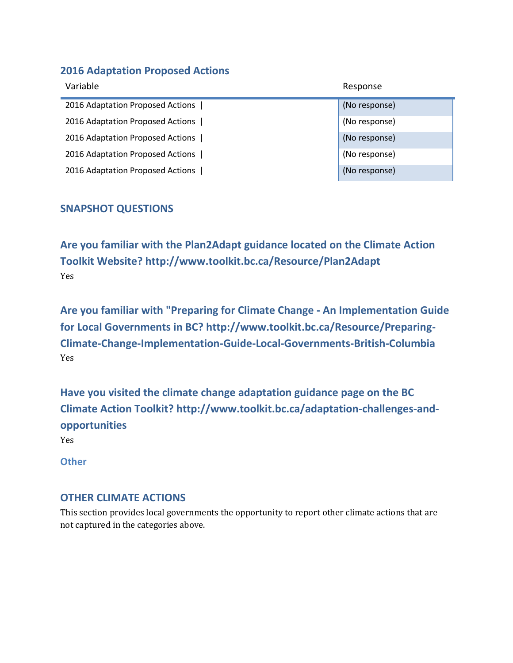#### **2016 Adaptation Proposed Actions**

| Variable                         | Response      |
|----------------------------------|---------------|
| 2016 Adaptation Proposed Actions | (No response) |
| 2016 Adaptation Proposed Actions | (No response) |
| 2016 Adaptation Proposed Actions | (No response) |
| 2016 Adaptation Proposed Actions | (No response) |
| 2016 Adaptation Proposed Actions | (No response) |

#### **SNAPSHOT QUESTIONS**

**Are you familiar with the Plan2Adapt guidance located on the Climate Action Toolkit Website? http://www.toolkit.bc.ca/Resource/Plan2Adapt** Yes

**Are you familiar with "Preparing for Climate Change - An Implementation Guide for Local Governments in BC? http://www.toolkit.bc.ca/Resource/Preparing-Climate-Change-Implementation-Guide-Local-Governments-British-Columbia** Yes

**Have you visited the climate change adaptation guidance page on the BC Climate Action Toolkit? http://www.toolkit.bc.ca/adaptation-challenges-andopportunities**

Yes

**Other**

#### **OTHER CLIMATE ACTIONS**

This section provides local governments the opportunity to report other climate actions that are not captured in the categories above.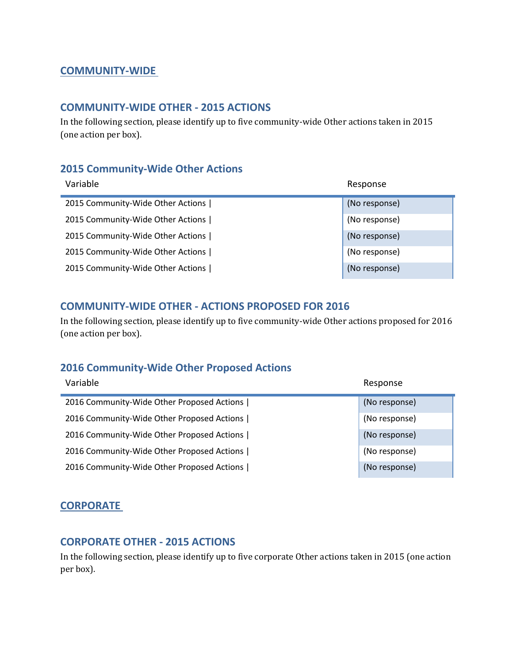#### **COMMUNITY-WIDE**

#### **COMMUNITY-WIDE OTHER - 2015 ACTIONS**

In the following section, please identify up to five community-wide Other actions taken in 2015 (one action per box).

#### **2015 Community-Wide Other Actions**

| Variable                          | Response      |
|-----------------------------------|---------------|
| 2015 Community-Wide Other Actions | (No response) |
| 2015 Community-Wide Other Actions | (No response) |
| 2015 Community-Wide Other Actions | (No response) |
| 2015 Community-Wide Other Actions | (No response) |
| 2015 Community-Wide Other Actions | (No response) |

#### **COMMUNITY-WIDE OTHER - ACTIONS PROPOSED FOR 2016**

In the following section, please identify up to five community-wide Other actions proposed for 2016 (one action per box).

#### **2016 Community-Wide Other Proposed Actions**

| Variable                                   | Response      |
|--------------------------------------------|---------------|
| 2016 Community-Wide Other Proposed Actions | (No response) |
| 2016 Community-Wide Other Proposed Actions | (No response) |
| 2016 Community-Wide Other Proposed Actions | (No response) |
| 2016 Community-Wide Other Proposed Actions | (No response) |
| 2016 Community-Wide Other Proposed Actions | (No response) |

#### **CORPORATE**

#### **CORPORATE OTHER - 2015 ACTIONS**

In the following section, please identify up to five corporate Other actions taken in 2015 (one action per box).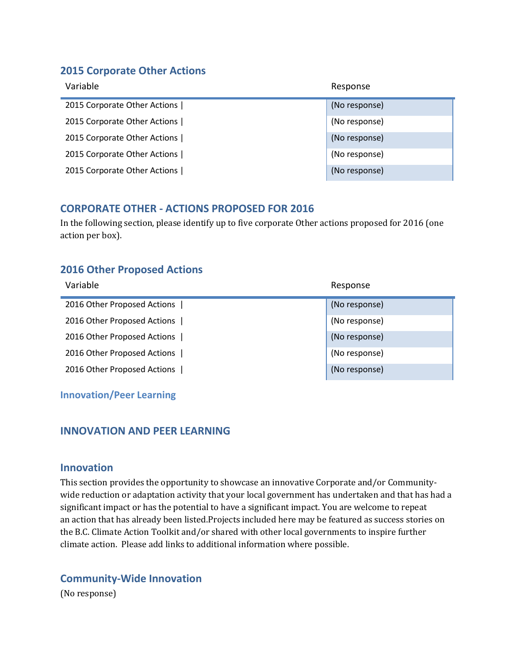#### **2015 Corporate Other Actions**

| Variable                     | Response      |
|------------------------------|---------------|
| 2015 Corporate Other Actions | (No response) |
| 2015 Corporate Other Actions | (No response) |
| 2015 Corporate Other Actions | (No response) |
| 2015 Corporate Other Actions | (No response) |
| 2015 Corporate Other Actions | (No response) |

#### **CORPORATE OTHER - ACTIONS PROPOSED FOR 2016**

In the following section, please identify up to five corporate Other actions proposed for 2016 (one action per box).

#### **2016 Other Proposed Actions**

| Variable                    | Response      |
|-----------------------------|---------------|
| 2016 Other Proposed Actions | (No response) |
| 2016 Other Proposed Actions | (No response) |
| 2016 Other Proposed Actions | (No response) |
| 2016 Other Proposed Actions | (No response) |
| 2016 Other Proposed Actions | (No response) |

**Innovation/Peer Learning**

#### **INNOVATION AND PEER LEARNING**

#### **Innovation**

This section provides the opportunity to showcase an innovative Corporate and/or Communitywide reduction or adaptation activity that your local government has undertaken and that has had a significant impact or has the potential to have a significant impact. You are welcome to repeat an action that has already been listed.Projects included here may be featured as success stories on the B.C. Climate Action Toolkit and/or shared with other local governments to inspire further climate action. Please add links to additional information where possible.

#### **Community-Wide Innovation**

(No response)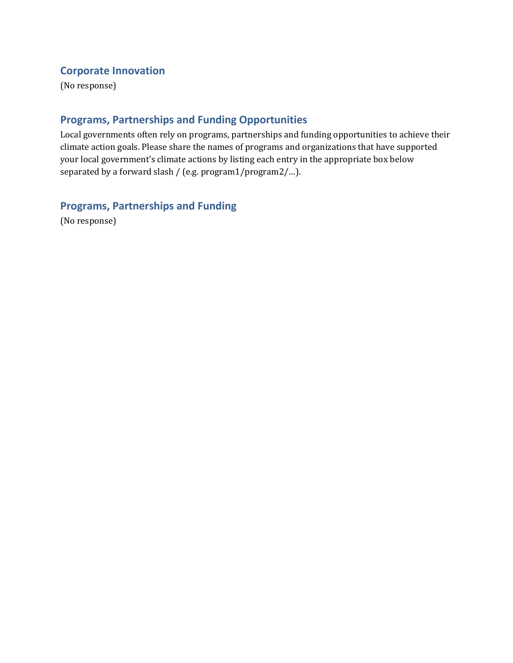#### **Corporate Innovation**

(No response)

#### **Programs, Partnerships and Funding Opportunities**

Local governments often rely on programs, partnerships and funding opportunities to achieve their climate action goals. Please share the names of programs and organizations that have supported your local government's climate actions by listing each entry in the appropriate box below separated by a forward slash / (e.g. program1/program2/…).

# **Programs, Partnerships and Funding**

(No response)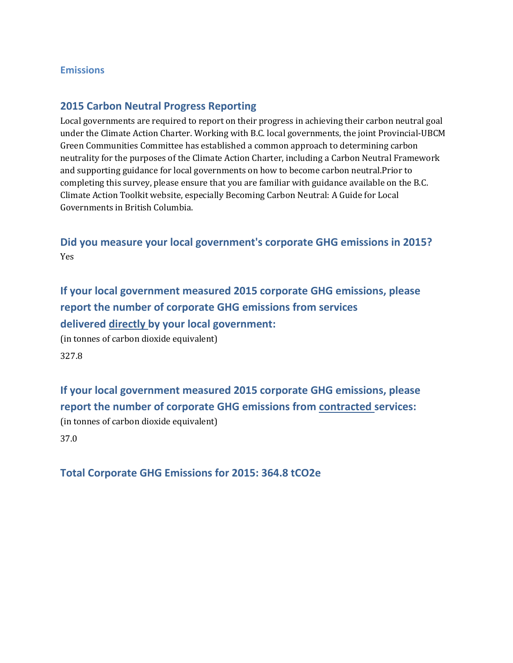#### **Emissions**

#### **2015 Carbon Neutral Progress Reporting**

Local governments are required to report on their progress in achieving their carbon neutral goal under the Climate Action Charter. Working with B.C. local governments, the joint Provincial-UBCM Green Communities Committee has established a common approach to determining carbon neutrality for the purposes of the Climate Action Charter, including a Carbon Neutral Framework and supporting guidance for local governments on how to become carbon neutral.Prior to completing this survey, please ensure that you are familiar with guidance available on the B.C. Climate Action Toolkit website, especially Becoming Carbon Neutral: A Guide for Local Governments in British Columbia.

**Did you measure your local government's corporate GHG emissions in 2015?** Yes

**If your local government measured 2015 corporate GHG emissions, please report the number of corporate GHG emissions from services delivered directly by your local government:**

(in tonnes of carbon dioxide equivalent)

327.8

**If your local government measured 2015 corporate GHG emissions, please report the number of corporate GHG emissions from contracted services:** (in tonnes of carbon dioxide equivalent)

37.0

#### **Total Corporate GHG Emissions for 2015: 364.8 tCO2e**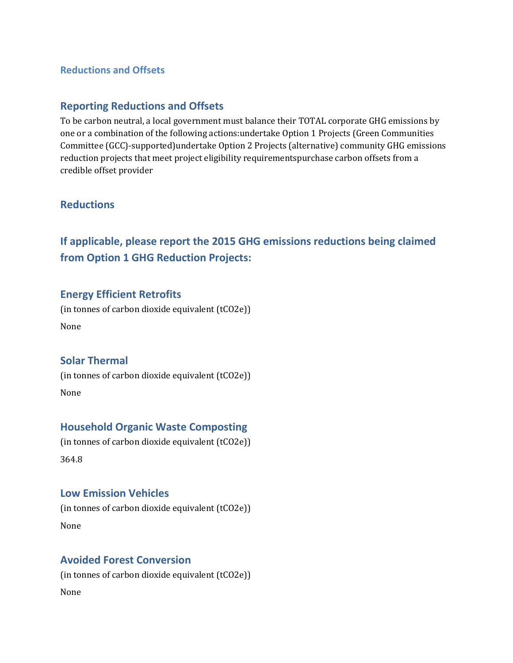#### **Reductions and Offsets**

#### **Reporting Reductions and Offsets**

To be carbon neutral, a local government must balance their TOTAL corporate GHG emissions by one or a combination of the following actions:undertake Option 1 Projects (Green Communities Committee (GCC)-supported)undertake Option 2 Projects (alternative) community GHG emissions reduction projects that meet project eligibility requirementspurchase carbon offsets from a credible offset provider

#### **Reductions**

# **If applicable, please report the 2015 GHG emissions reductions being claimed from Option 1 GHG Reduction Projects:**

#### **Energy Efficient Retrofits**

(in tonnes of carbon dioxide equivalent (tCO2e)) None

#### **Solar Thermal**

(in tonnes of carbon dioxide equivalent (tCO2e)) None

#### **Household Organic Waste Composting**

(in tonnes of carbon dioxide equivalent (tCO2e)) 364.8

#### **Low Emission Vehicles**

(in tonnes of carbon dioxide equivalent (tCO2e)) None

#### **Avoided Forest Conversion**

(in tonnes of carbon dioxide equivalent (tCO2e)) None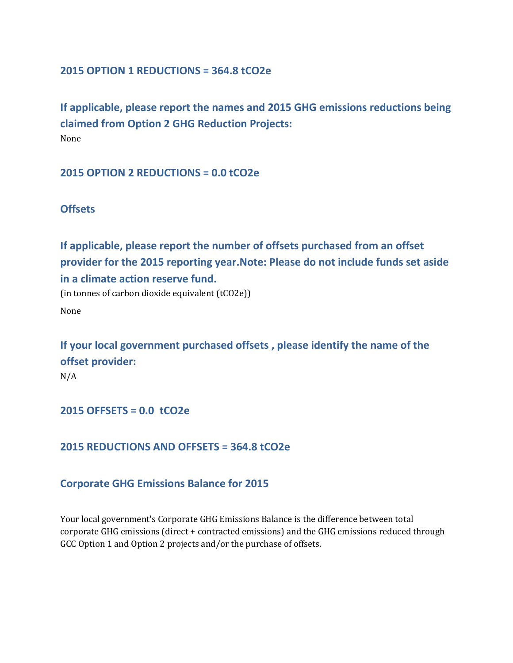#### **2015 OPTION 1 REDUCTIONS = 364.8 tCO2e**

**If applicable, please report the names and 2015 GHG emissions reductions being claimed from Option 2 GHG Reduction Projects:** None

#### **2015 OPTION 2 REDUCTIONS = 0.0 tCO2e**

#### **Offsets**

**If applicable, please report the number of offsets purchased from an offset provider for the 2015 reporting year.Note: Please do not include funds set aside in a climate action reserve fund.** (in tonnes of carbon dioxide equivalent (tCO2e)) None

**If your local government purchased offsets , please identify the name of the offset provider:** N/A

#### **2015 OFFSETS = 0.0 tCO2e**

#### **2015 REDUCTIONS AND OFFSETS = 364.8 tCO2e**

#### **Corporate GHG Emissions Balance for 2015**

Your local government's Corporate GHG Emissions Balance is the difference between total corporate GHG emissions (direct + contracted emissions) and the GHG emissions reduced through GCC Option 1 and Option 2 projects and/or the purchase of offsets.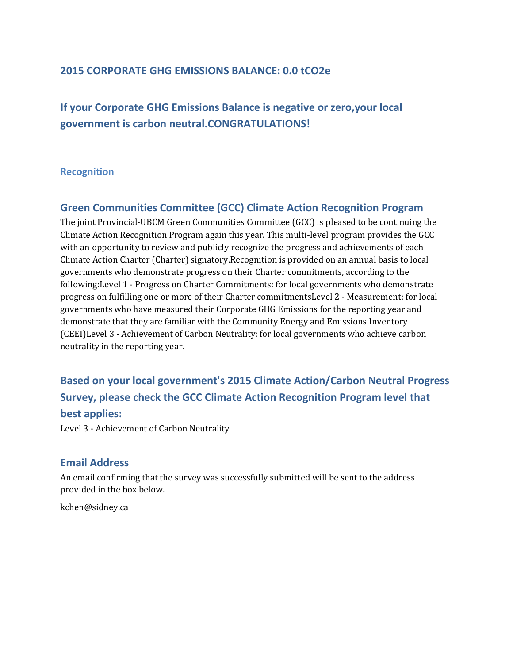#### **2015 CORPORATE GHG EMISSIONS BALANCE: 0.0 tCO2e**

**If your Corporate GHG Emissions Balance is negative or zero,your local government is carbon neutral.CONGRATULATIONS!**

#### **Recognition**

#### **Green Communities Committee (GCC) Climate Action Recognition Program**

The joint Provincial-UBCM Green Communities Committee (GCC) is pleased to be continuing the Climate Action Recognition Program again this year. This multi-level program provides the GCC with an opportunity to review and publicly recognize the progress and achievements of each Climate Action Charter (Charter) signatory.Recognition is provided on an annual basis to local governments who demonstrate progress on their Charter commitments, according to the following:Level 1 - Progress on Charter Commitments: for local governments who demonstrate progress on fulfilling one or more of their Charter commitmentsLevel 2 - Measurement: for local governments who have measured their Corporate GHG Emissions for the reporting year and demonstrate that they are familiar with the Community Energy and Emissions Inventory (CEEI)Level 3 - Achievement of Carbon Neutrality: for local governments who achieve carbon neutrality in the reporting year.

# **Based on your local government's 2015 Climate Action/Carbon Neutral Progress Survey, please check the GCC Climate Action Recognition Program level that best applies:**

Level 3 - Achievement of Carbon Neutrality

#### **Email Address**

An email confirming that the survey was successfully submitted will be sent to the address provided in the box below.

kchen@sidney.ca